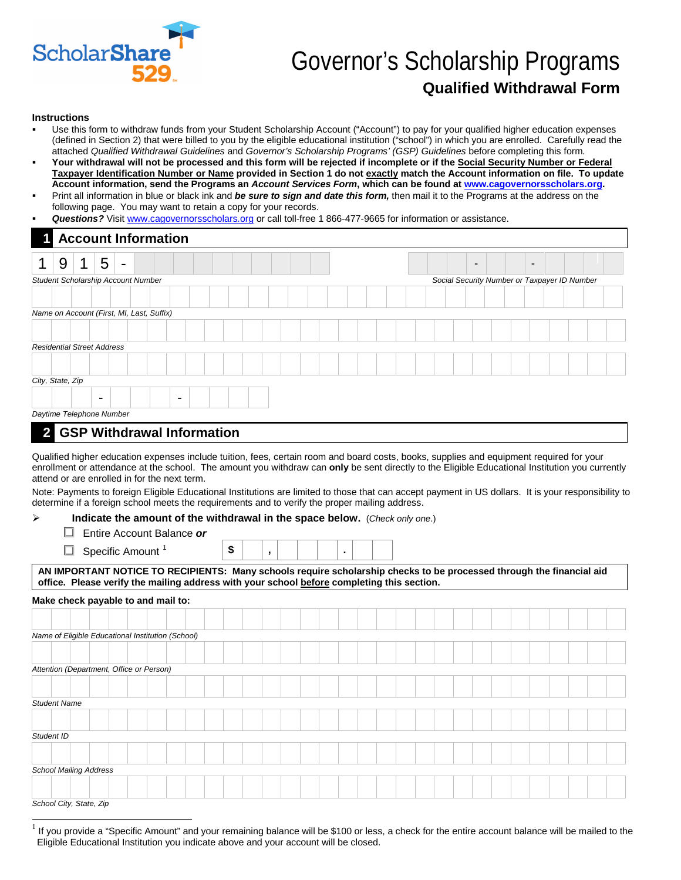

# Governor's Scholarship Programs **Qualified Withdrawal Form**

#### **Instructions**

- Use this form to withdraw funds from your Student Scholarship Account ("Account") to pay for your qualified higher education expenses (defined in Section 2) that were billed to you by the eligible educational institution ("school") in which you are enrolled. Carefully read the attached *Qualified Withdrawal Guidelines* and *Governor's Scholarship Programs' (GSP) Guidelines* before completing this form*.*
- **Your withdrawal will not be processed and this form will be rejected if incomplete or if the Social Security Number or Federal Taxpayer Identification Number or Name provided in Section 1 do not exactly match the Account information on file. To update Account information, send the Programs an** *Account Services Form***, which can be found at www.cagovernorsscholars.org.**
- Print all information in blue or black ink and *be sure to sign and date this form,* then mail it to the Programs at the address on the following page. You may want to retain a copy for your records.
- *Questions?* Visit www.cagovernorsscholars.org or call toll-free 1 866-477-9665 for information or assistance.

|                                           | <b>Account Information</b> |   |                          |                |  |  |                |  |  |  |  |  |  |  |                                              |  |  |  |  |  |  |  |                          |  |  |  |  |
|-------------------------------------------|----------------------------|---|--------------------------|----------------|--|--|----------------|--|--|--|--|--|--|--|----------------------------------------------|--|--|--|--|--|--|--|--------------------------|--|--|--|--|
|                                           | 9                          | я | 5                        | $\blacksquare$ |  |  |                |  |  |  |  |  |  |  |                                              |  |  |  |  |  |  |  | $\overline{\phantom{0}}$ |  |  |  |  |
| Student Scholarship Account Number        |                            |   |                          |                |  |  |                |  |  |  |  |  |  |  | Social Security Number or Taxpayer ID Number |  |  |  |  |  |  |  |                          |  |  |  |  |
|                                           |                            |   |                          |                |  |  |                |  |  |  |  |  |  |  |                                              |  |  |  |  |  |  |  |                          |  |  |  |  |
| Name on Account (First, MI, Last, Suffix) |                            |   |                          |                |  |  |                |  |  |  |  |  |  |  |                                              |  |  |  |  |  |  |  |                          |  |  |  |  |
|                                           |                            |   |                          |                |  |  |                |  |  |  |  |  |  |  |                                              |  |  |  |  |  |  |  |                          |  |  |  |  |
| <b>Residential Street Address</b>         |                            |   |                          |                |  |  |                |  |  |  |  |  |  |  |                                              |  |  |  |  |  |  |  |                          |  |  |  |  |
|                                           |                            |   |                          |                |  |  |                |  |  |  |  |  |  |  |                                              |  |  |  |  |  |  |  |                          |  |  |  |  |
| City, State, Zip                          |                            |   |                          |                |  |  |                |  |  |  |  |  |  |  |                                              |  |  |  |  |  |  |  |                          |  |  |  |  |
|                                           |                            |   | $\overline{\phantom{0}}$ |                |  |  | $\blacksquare$ |  |  |  |  |  |  |  |                                              |  |  |  |  |  |  |  |                          |  |  |  |  |
|                                           |                            |   | Daytime Telephone Number |                |  |  |                |  |  |  |  |  |  |  |                                              |  |  |  |  |  |  |  |                          |  |  |  |  |

#### **2 GSP Withdrawal Information**

Qualified higher education expenses include tuition, fees, certain room and board costs, books, supplies and equipment required for your enrollment or attendance at the school. The amount you withdraw can **only** be sent directly to the Eligible Educational Institution you currently attend or are enrolled in for the next term.

Note: Payments to foreign Eligible Educational Institutions are limited to those that can accept payment in US dollars. It is your responsibility to determine if a foreign school meets the requirements and to verify the proper mailing address.

#### **Indicate the amount of the withdrawal in the space below.** (*Check only one*.)

- Entire Account Balance *or*
- $\Box$  Specific Amount  $\Box$  **5**

|--|

**office. Please verify the mailing address with your school before completing this section.** 

#### **Make check payable to and mail to:**

| Name of Eligible Educational Institution (School) |  |                               |  |  |  |  |  |  |  |  |  |  |  |  |  |  |  |  |  |  |  |  |  |
|---------------------------------------------------|--|-------------------------------|--|--|--|--|--|--|--|--|--|--|--|--|--|--|--|--|--|--|--|--|--|
|                                                   |  |                               |  |  |  |  |  |  |  |  |  |  |  |  |  |  |  |  |  |  |  |  |  |
| Attention (Department, Office or Person)          |  |                               |  |  |  |  |  |  |  |  |  |  |  |  |  |  |  |  |  |  |  |  |  |
|                                                   |  |                               |  |  |  |  |  |  |  |  |  |  |  |  |  |  |  |  |  |  |  |  |  |
| <b>Student Name</b>                               |  |                               |  |  |  |  |  |  |  |  |  |  |  |  |  |  |  |  |  |  |  |  |  |
|                                                   |  |                               |  |  |  |  |  |  |  |  |  |  |  |  |  |  |  |  |  |  |  |  |  |
| Student ID                                        |  |                               |  |  |  |  |  |  |  |  |  |  |  |  |  |  |  |  |  |  |  |  |  |
|                                                   |  |                               |  |  |  |  |  |  |  |  |  |  |  |  |  |  |  |  |  |  |  |  |  |
|                                                   |  | <b>School Mailing Address</b> |  |  |  |  |  |  |  |  |  |  |  |  |  |  |  |  |  |  |  |  |  |
|                                                   |  |                               |  |  |  |  |  |  |  |  |  |  |  |  |  |  |  |  |  |  |  |  |  |
|                                                   |  | School City, State, Zip       |  |  |  |  |  |  |  |  |  |  |  |  |  |  |  |  |  |  |  |  |  |

If you provide a "Specific Amount" and your remaining balance will be \$100 or less, a check for the entire account balance will be mailed to the Eligible Educational Institution you indicate above and your account will be closed.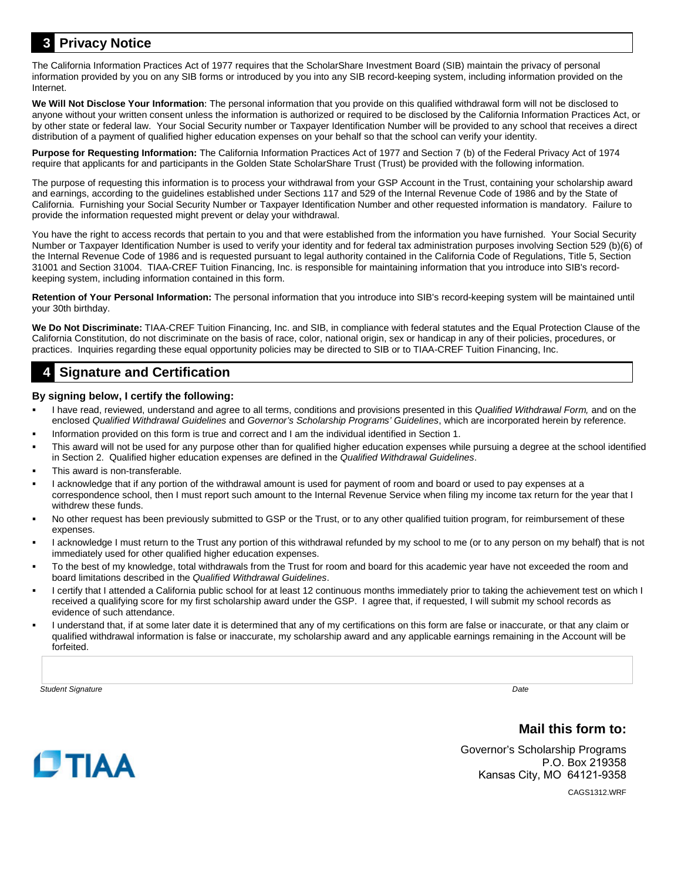### **3 Privacy Notice**

The California Information Practices Act of 1977 requires that the ScholarShare Investment Board (SIB) maintain the privacy of personal information provided by you on any SIB forms or introduced by you into any SIB record-keeping system, including information provided on the Internet.

**We Will Not Disclose Your Information**: The personal information that you provide on this qualified withdrawal form will not be disclosed to anyone without your written consent unless the information is authorized or required to be disclosed by the California Information Practices Act, or by other state or federal law. Your Social Security number or Taxpayer Identification Number will be provided to any school that receives a direct distribution of a payment of qualified higher education expenses on your behalf so that the school can verify your identity.

**Purpose for Requesting Information:** The California Information Practices Act of 1977 and Section 7 (b) of the Federal Privacy Act of 1974 require that applicants for and participants in the Golden State ScholarShare Trust (Trust) be provided with the following information.

The purpose of requesting this information is to process your withdrawal from your GSP Account in the Trust, containing your scholarship award and earnings, according to the guidelines established under Sections 117 and 529 of the Internal Revenue Code of 1986 and by the State of California. Furnishing your Social Security Number or Taxpayer Identification Number and other requested information is mandatory. Failure to provide the information requested might prevent or delay your withdrawal.

You have the right to access records that pertain to you and that were established from the information you have furnished. Your Social Security Number or Taxpayer Identification Number is used to verify your identity and for federal tax administration purposes involving Section 529 (b)(6) of the Internal Revenue Code of 1986 and is requested pursuant to legal authority contained in the California Code of Regulations, Title 5, Section 31001 and Section 31004. TIAA-CREF Tuition Financing, Inc. is responsible for maintaining information that you introduce into SIB's recordkeeping system, including information contained in this form.

**Retention of Your Personal Information:** The personal information that you introduce into SIB's record-keeping system will be maintained until your 30th birthday.

**We Do Not Discriminate:** TIAA-CREF Tuition Financing, Inc. and SIB, in compliance with federal statutes and the Equal Protection Clause of the California Constitution, do not discriminate on the basis of race, color, national origin, sex or handicap in any of their policies, procedures, or practices. Inquiries regarding these equal opportunity policies may be directed to SIB or to TIAA-CREF Tuition Financing, Inc.

### **4 Signature and Certification**

#### **By signing below, I certify the following:**

- I have read, reviewed, understand and agree to all terms, conditions and provisions presented in this *Qualified Withdrawal Form,* and on the enclosed *Qualified Withdrawal Guidelines* and *Governor's Scholarship Programs' Guidelines*, which are incorporated herein by reference.
- Information provided on this form is true and correct and I am the individual identified in Section 1.
- This award will not be used for any purpose other than for qualified higher education expenses while pursuing a degree at the school identified in Section 2. Qualified higher education expenses are defined in the *Qualified Withdrawal Guidelines*.
- This award is non-transferable.
- I acknowledge that if any portion of the withdrawal amount is used for payment of room and board or used to pay expenses at a correspondence school, then I must report such amount to the Internal Revenue Service when filing my income tax return for the year that I withdrew these funds.
- No other request has been previously submitted to GSP or the Trust, or to any other qualified tuition program, for reimbursement of these expenses.
- I acknowledge I must return to the Trust any portion of this withdrawal refunded by my school to me (or to any person on my behalf) that is not immediately used for other qualified higher education expenses.
- To the best of my knowledge, total withdrawals from the Trust for room and board for this academic year have not exceeded the room and board limitations described in the *Qualified Withdrawal Guidelines*.
- I certify that I attended a California public school for at least 12 continuous months immediately prior to taking the achievement test on which I received a qualifying score for my first scholarship award under the GSP. I agree that, if requested, I will submit my school records as evidence of such attendance.
- I understand that, if at some later date it is determined that any of my certifications on this form are false or inaccurate, or that any claim or qualified withdrawal information is false or inaccurate, my scholarship award and any applicable earnings remaining in the Account will be forfeited.

*Student Signature Date*

### **Mail this form to:**

Governor's Scholarship Programs P.O. Box 219358 Kansas City, MO 64121-9358



CAGS1312.WRF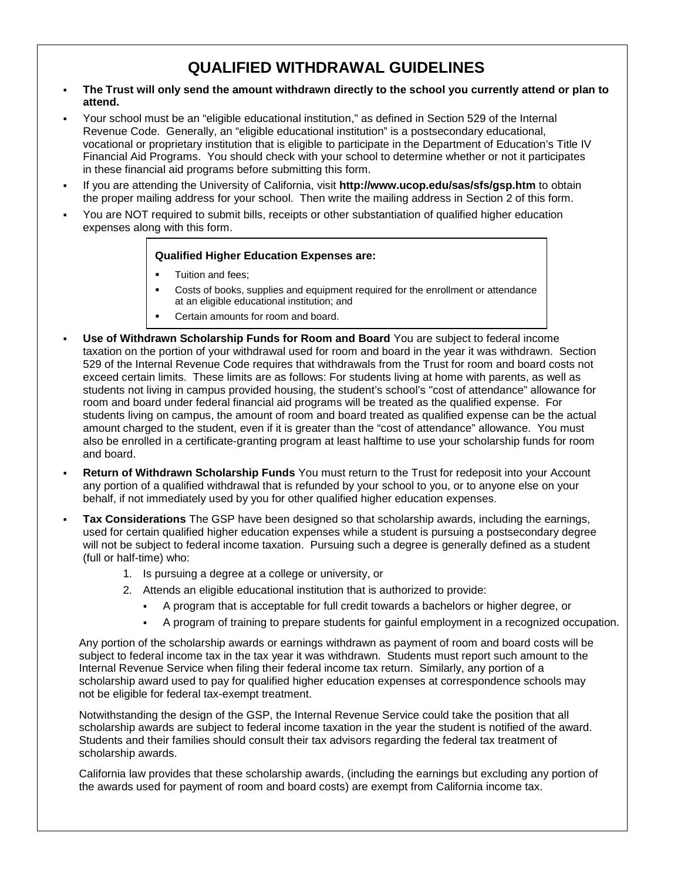# **QUALIFIED WITHDRAWAL GUIDELINES**

- **The Trust will only send the amount withdrawn directly to the school you currently attend or plan to attend.**
- Your school must be an "eligible educational institution," as defined in Section 529 of the Internal Revenue Code. Generally, an "eligible educational institution" is a postsecondary educational, vocational or proprietary institution that is eligible to participate in the Department of Education's Title IV Financial Aid Programs. You should check with your school to determine whether or not it participates in these financial aid programs before submitting this form. .
- If you are attending the University of California, visit **http://www.ucop.edu/sas/sfs/gsp.htm** to obtain the proper mailing address for your school. Then write the mailing address in Section 2 of this form. .
- You are NOT required to submit bills, receipts or other substantiation of qualified higher education expenses along with this form. :

#### **Qualified Higher Education Expenses are:**

- Tuition and fees;
- Costs of books, supplies and equipment required for the enrollment or attendance at an eligible educational institution; and
- Certain amounts for room and board.
- **Use of Withdrawn Scholarship Funds for Room and Board** You are subject to federal income taxation on the portion of your withdrawal used for room and board in the year it was withdrawn. Section 529 of the Internal Revenue Code requires that withdrawals from the Trust for room and board costs not exceed certain limits. These limits are as follows: For students living at home with parents, as well as students not living in campus provided housing, the student's school's "cost of attendance" allowance for room and board under federal financial aid programs will be treated as the qualified expense. For students living on campus, the amount of room and board treated as qualified expense can be the actual amount charged to the student, even if it is greater than the "cost of attendance" allowance. You must also be enrolled in a certificate-granting program at least halftime to use your scholarship funds for room and board.
- **Return of Withdrawn Scholarship Funds** You must return to the Trust for redeposit into your Account any portion of a qualified withdrawal that is refunded by your school to you, or to anyone else on your behalf, if not immediately used by you for other qualified higher education expenses.
- **Tax Considerations** The GSP have been designed so that scholarship awards, including the earnings, used for certain qualified higher education expenses while a student is pursuing a postsecondary degree will not be subject to federal income taxation. Pursuing such a degree is generally defined as a student (full or half-time) who:
	- 1. Is pursuing a degree at a college or university, or
	- 2. Attends an eligible educational institution that is authorized to provide:
		- A program that is acceptable for full credit towards a bachelors or higher degree, or
		- A program of training to prepare students for gainful employment in a recognized occupation.

Any portion of the scholarship awards or earnings withdrawn as payment of room and board costs will be subject to federal income tax in the tax year it was withdrawn. Students must report such amount to the Internal Revenue Service when filing their federal income tax return. Similarly, any portion of a scholarship award used to pay for qualified higher education expenses at correspondence schools may not be eligible for federal tax-exempt treatment.

Notwithstanding the design of the GSP, the Internal Revenue Service could take the position that all scholarship awards are subject to federal income taxation in the year the student is notified of the award. Students and their families should consult their tax advisors regarding the federal tax treatment of scholarship awards.

California law provides that these scholarship awards, (including the earnings but excluding any portion of the awards used for payment of room and board costs) are exempt from California income tax.